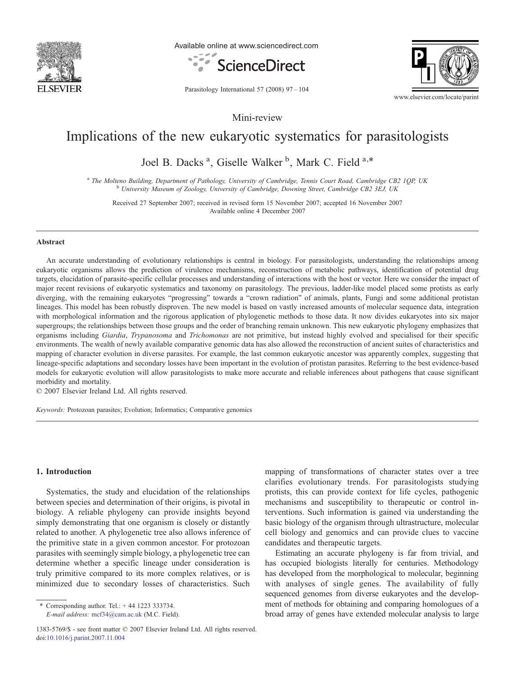

Available online at www.sciencedirect.com



www.elsevier.com/locate/parint

Parasitology International 57 (2008) 97–104

Mini-review

# Implications of the new eukaryotic systematics for parasitologists

## Joel B. Dacks<sup>a</sup>, Giselle Walker<sup>b</sup>, Mark C. Field<sup>a,\*</sup>

<sup>a</sup> The Molteno Building, Department of Pathology, University of Cambridge, Tennis Court Road, Cambridge CB2 1QP, UK<br><sup>b</sup> University Museum of Zoology, University of Cambridge, Downing Street, Cambridge CB2 3EJ, UK

Received 27 September 2007; received in revised form 15 November 2007; accepted 16 November 2007 Available online 4 December 2007

#### Abstract

An accurate understanding of evolutionary relationships is central in biology. For parasitologists, understanding the relationships among eukaryotic organisms allows the prediction of virulence mechanisms, reconstruction of metabolic pathways, identification of potential drug targets, elucidation of parasite-specific cellular processes and understanding of interactions with the host or vector. Here we consider the impact of major recent revisions of eukaryotic systematics and taxonomy on parasitology. The previous, ladder-like model placed some protists as early diverging, with the remaining eukaryotes "progressing" towards a "crown radiation" of animals, plants, Fungi and some additional protistan lineages. This model has been robustly disproven. The new model is based on vastly increased amounts of molecular sequence data, integration with morphological information and the rigorous application of phylogenetic methods to those data. It now divides eukaryotes into six major supergroups; the relationships between those groups and the order of branching remain unknown. This new eukaryotic phylogeny emphasizes that organisms including Giardia, Trypanosoma and Trichomonas are not primitive, but instead highly evolved and specialised for their specific environments. The wealth of newly available comparative genomic data has also allowed the reconstruction of ancient suites of characteristics and mapping of character evolution in diverse parasites. For example, the last common eukaryotic ancestor was apparently complex, suggesting that lineage-specific adaptations and secondary losses have been important in the evolution of protistan parasites. Referring to the best evidence-based models for eukaryotic evolution will allow parasitologists to make more accurate and reliable inferences about pathogens that cause significant morbidity and mortality.

© 2007 Elsevier Ireland Ltd. All rights reserved.

Keywords: Protozoan parasites; Evolution; Informatics; Comparative genomics

#### 1. Introduction

Systematics, the study and elucidation of the relationships between species and determination of their origins, is pivotal in biology. A reliable phylogeny can provide insights beyond simply demonstrating that one organism is closely or distantly related to another. A phylogenetic tree also allows inference of the primitive state in a given common ancestor. For protozoan parasites with seemingly simple biology, a phylogenetic tree can determine whether a specific lineage under consideration is truly primitive compared to its more complex relatives, or is minimized due to secondary losses of characteristics. Such

 $*$  Corresponding author. Tel.:  $+44$  1223 333734. E-mail address: [mcf34@cam.ac.uk](mailto:mcf34@cam.ac.uk) (M.C. Field). mapping of transformations of character states over a tree clarifies evolutionary trends. For parasitologists studying protists, this can provide context for life cycles, pathogenic mechanisms and susceptibility to therapeutic or control interventions. Such information is gained via understanding the basic biology of the organism through ultrastructure, molecular cell biology and genomics and can provide clues to vaccine candidates and therapeutic targets.

Estimating an accurate phylogeny is far from trivial, and has occupied biologists literally for centuries. Methodology has developed from the morphological to molecular, beginning with analyses of single genes. The availability of fully sequenced genomes from diverse eukaryotes and the development of methods for obtaining and comparing homologues of a broad array of genes have extended molecular analysis to large

<sup>1383-5769/\$ -</sup> see front matter © 2007 Elsevier Ireland Ltd. All rights reserved. doi:[10.1016/j.parint.2007.11.004](http://dx.doi.org/10.1016/j.parint.2007.11.004)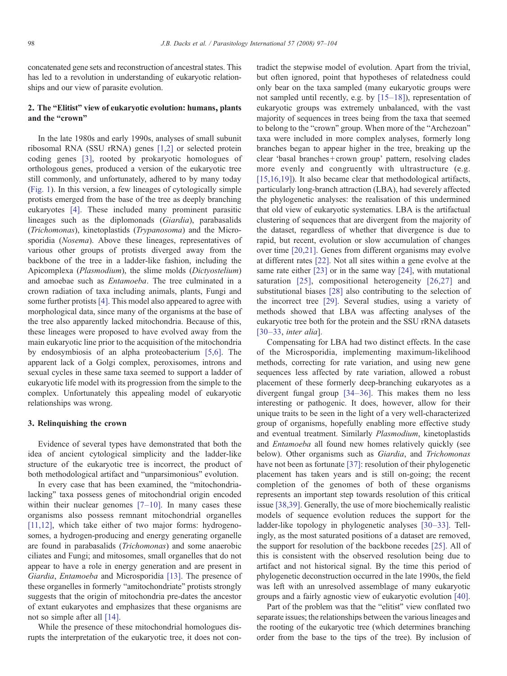concatenated gene sets and reconstruction of ancestral states. This has led to a revolution in understanding of eukaryotic relationships and our view of parasite evolution.

## 2. The "Elitist" view of eukaryotic evolution: humans, plants and the "crown"

In the late 1980s and early 1990s, analyses of small subunit ribosomal RNA (SSU rRNA) genes [\[1,2\]](#page-5-0) or selected protein coding genes [\[3\]](#page-6-0), rooted by prokaryotic homologues of orthologous genes, produced a version of the eukaryotic tree still commonly, and unfortunately, adhered to by many today ([Fig. 1\)](#page-2-0). In this version, a few lineages of cytologically simple protists emerged from the base of the tree as deeply branching eukaryotes [\[4\].](#page-6-0) These included many prominent parasitic lineages such as the diplomonads (Giardia), parabasalids (Trichomonas), kinetoplastids (Trypanosoma) and the Microsporidia (Nosema). Above these lineages, representatives of various other groups of protists diverged away from the backbone of the tree in a ladder-like fashion, including the Apicomplexa (Plasmodium), the slime molds (Dictyostelium) and amoebae such as Entamoeba. The tree culminated in a crown radiation of taxa including animals, plants, Fungi and some further protists [\[4\].](#page-6-0) This model also appeared to agree with morphological data, since many of the organisms at the base of the tree also apparently lacked mitochondria. Because of this, these lineages were proposed to have evolved away from the main eukaryotic line prior to the acquisition of the mitochondria by endosymbiosis of an alpha proteobacterium [\[5,6\].](#page-6-0) The apparent lack of a Golgi complex, peroxisomes, introns and sexual cycles in these same taxa seemed to support a ladder of eukaryotic life model with its progression from the simple to the complex. Unfortunately this appealing model of eukaryotic relationships was wrong.

#### 3. Relinquishing the crown

Evidence of several types have demonstrated that both the idea of ancient cytological simplicity and the ladder-like structure of the eukaryotic tree is incorrect, the product of both methodological artifact and "unparsimonious" evolution.

In every case that has been examined, the "mitochondrialacking" taxa possess genes of mitochondrial origin encoded within their nuclear genomes  $[7-10]$ . In many cases these organisms also possess remnant mitochondrial organelles [\[11,12\]](#page-6-0), which take either of two major forms: hydrogenosomes, a hydrogen-producing and energy generating organelle are found in parabasalids (Trichomonas) and some anaerobic ciliates and Fungi; and mitosomes, small organelles that do not appear to have a role in energy generation and are present in Giardia, Entamoeba and Microsporidia [\[13\]](#page-6-0). The presence of these organelles in formerly "amitochondriate" protists strongly suggests that the origin of mitochondria pre-dates the ancestor of extant eukaryotes and emphasizes that these organisms are not so simple after all [\[14\].](#page-6-0)

While the presence of these mitochondrial homologues disrupts the interpretation of the eukaryotic tree, it does not contradict the stepwise model of evolution. Apart from the trivial, but often ignored, point that hypotheses of relatedness could only bear on the taxa sampled (many eukaryotic groups were not sampled until recently, e.g. by [15–[18\]](#page-6-0)), representation of eukaryotic groups was extremely unbalanced, with the vast majority of sequences in trees being from the taxa that seemed to belong to the "crown" group. When more of the "Archezoan" taxa were included in more complex analyses, formerly long branches began to appear higher in the tree, breaking up the clear 'basal branches + crown group' pattern, resolving clades more evenly and congruently with ultrastructure (e.g. [\[15,16,19\]](#page-6-0)). It also became clear that methodological artifacts, particularly long-branch attraction (LBA), had severely affected the phylogenetic analyses: the realisation of this undermined that old view of eukaryotic systematics. LBA is the artifactual clustering of sequences that are divergent from the majority of the dataset, regardless of whether that divergence is due to rapid, but recent, evolution or slow accumulation of changes over time [\[20,21\]](#page-6-0). Genes from different organisms may evolve at different rates [\[22\].](#page-6-0) Not all sites within a gene evolve at the same rate either [\[23\]](#page-6-0) or in the same way [\[24\]](#page-6-0), with mutational saturation [\[25\],](#page-6-0) compositional heterogeneity [\[26,27\]](#page-6-0) and substitutional biases [\[28\]](#page-6-0) also contributing to the selection of the incorrect tree [\[29\]](#page-6-0). Several studies, using a variety of methods showed that LBA was affecting analyses of the eukaryotic tree both for the protein and the SSU rRNA datasets [\[30](#page-6-0)–33, inter alia].

Compensating for LBA had two distinct effects. In the case of the Microsporidia, implementing maximum-likelihood methods, correcting for rate variation, and using new gene sequences less affected by rate variation, allowed a robust placement of these formerly deep-branching eukaryotes as a divergent fungal group [34–[36\].](#page-6-0) This makes them no less interesting or pathogenic. It does, however, allow for their unique traits to be seen in the light of a very well-characterized group of organisms, hopefully enabling more effective study and eventual treatment. Similarly Plasmodium, kinetoplastids and Entamoeba all found new homes relatively quickly (see below). Other organisms such as *Giardia*, and *Trichomonas* have not been as fortunate [\[37\]:](#page-6-0) resolution of their phylogenetic placement has taken years and is still on-going; the recent completion of the genomes of both of these organisms represents an important step towards resolution of this critical issue [\[38,39\].](#page-6-0) Generally, the use of more biochemically realistic models of sequence evolution reduces the support for the ladder-like topology in phylogenetic analyses [\[30](#page-6-0)–33]. Tellingly, as the most saturated positions of a dataset are removed, the support for resolution of the backbone recedes [\[25\]](#page-6-0). All of this is consistent with the observed resolution being due to artifact and not historical signal. By the time this period of phylogenetic deconstruction occurred in the late 1990s, the field was left with an unresolved assemblage of many eukaryotic groups and a fairly agnostic view of eukaryotic evolution [\[40\]](#page-6-0).

Part of the problem was that the "elitist" view conflated two separate issues; the relationships between the various lineages and the rooting of the eukaryotic tree (which determines branching order from the base to the tips of the tree). By inclusion of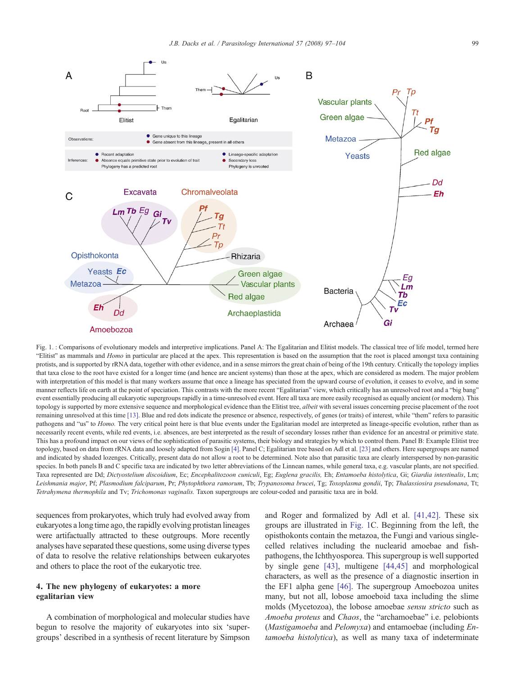<span id="page-2-0"></span>

Fig. 1. : Comparisons of evolutionary models and interpretive implications. Panel A: The Egalitarian and Elitist models. The classical tree of life model, termed here "Elitist" as mammals and Homo in particular are placed at the apex. This representation is based on the assumption that the root is placed amongst taxa containing protists, and is supported by rRNA data, together with other evidence, and in a sense mirrors the great chain of being of the 19th century. Critically the topology implies that taxa close to the root have existed for a longer time (and hence are ancient systems) than those at the apex, which are considered as modern. The major problem with interpretation of this model is that many workers assume that once a lineage has speciated from the upward course of evolution, it ceases to evolve, and in some manner reflects life on earth at the point of speciation. This contrasts with the more recent "Egalitarian" view, which critically has an unresolved root and a "big bang" event essentially producing all eukaryotic supergroups rapidly in a time-unresolved event. Here all taxa are more easily recognised as equally ancient (or modern). This topology is supported by more extensive sequence and morphological evidence than the Elitist tree, albeit with several issues concerning precise placement of the root remaining unresolved at this time [\[13\].](#page-6-0) Blue and red dots indicate the presence or absence, respectively, of genes (or traits) of interest, while "them" refers to parasitic pathogens and "us" to *Homo*. The very critical point here is that blue events under the Egalitarian model are interpreted as lineage-specific evolution, rather than as necessarily recent events, while red events, i.e. absences, are best interpreted as the result of secondary losses rather than evidence for an ancestral or primitive state. This has a profound impact on our views of the sophistication of parasitic systems, their biology and strategies by which to control them. Panel B: Example Elitist tree topology, based on data from rRNA data and loosely adapted from Sogin [\[4\].](#page-6-0) Panel C; Egalitarian tree based on Adl et al. [\[23\]](#page-6-0) and others. Here supergroups are named and indicated by shaded lozenges. Critically, present data do not allow a root to be determined. Note also that parasitic taxa are clearly interspersed by non-parasitic species. In both panels B and C specific taxa are indicated by two letter abbreviations of the Linnean names, while general taxa, e.g. vascular plants, are not specified. Taxa represented are Dd; Dictyostelium discoidium, Ec; Encephalitozoon cuniculi, Eg; Euglena gracilis, Eh; Entamoeba histolytica, Gi; Giardia intestinalis, Lm; Leishmania major, Pf; Plasmodium falciparum, Pr; Phytophthora ramorum, Tb; Trypanosoma brucei, Tg; Toxoplasma gondii, Tp; Thalassiosira pseudonana, Tt; Tetrahymena thermophila and Tv; Trichomonas vaginalis. Taxon supergroups are colour-coded and parasitic taxa are in bold.

sequences from prokaryotes, which truly had evolved away from eukaryotes a long time ago, the rapidly evolving protistan lineages were artifactually attracted to these outgroups. More recently analyses have separated these questions, some using diverse types of data to resolve the relative relationships between eukaryotes and others to place the root of the eukaryotic tree.

## 4. The new phylogeny of eukaryotes: a more egalitarian view

A combination of morphological and molecular studies have begun to resolve the majority of eukaryotes into six 'supergroups' described in a synthesis of recent literature by Simpson and Roger and formalized by Adl et al. [\[41,42\]](#page-6-0). These six groups are illustrated in Fig. 1C. Beginning from the left, the opisthokonts contain the metazoa, the Fungi and various singlecelled relatives including the nuclearid amoebae and fishpathogens, the Ichthyosporea. This supergroup is well supported by single gene [\[43\]](#page-6-0), multigene [\[44,45\]](#page-6-0) and morphological characters, as well as the presence of a diagnostic insertion in the EF1 alpha gene [\[46\].](#page-6-0) The supergroup Amoebozoa unites many, but not all, lobose amoeboid taxa including the slime molds (Mycetozoa), the lobose amoebae sensu stricto such as Amoeba proteus and Chaos, the "archamoebae" i.e. pelobionts (Mastigamoeba and Pelomyxa) and entamoebae (including Entamoeba histolytica), as well as many taxa of indeterminate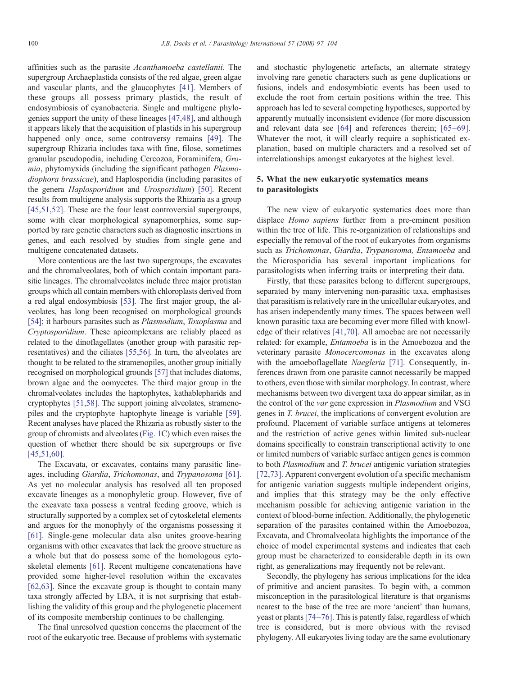affinities such as the parasite Acanthamoeba castellanii. The supergroup Archaeplastida consists of the red algae, green algae and vascular plants, and the glaucophytes [\[41\]](#page-6-0). Members of these groups all possess primary plastids, the result of endosymbiosis of cyanobacteria. Single and multigene phylogenies support the unity of these lineages [\[47,48\]](#page-6-0), and although it appears likely that the acquisition of plastids in his supergroup happened only once, some controversy remains [\[49\].](#page-6-0) The supergroup Rhizaria includes taxa with fine, filose, sometimes granular pseudopodia, including Cercozoa, Foraminifera, Gromia, phytomyxids (including the significant pathogen Plasmodiophora brassicae), and Haplosporidia (including parasites of the genera Haplosporidium and Urosporidium) [\[50\]](#page-6-0). Recent results from multigene analysis supports the Rhizaria as a group [\[45,51,52\]](#page-6-0). These are the four least controversial supergroups, some with clear morphological synapomorphies, some supported by rare genetic characters such as diagnostic insertions in genes, and each resolved by studies from single gene and multigene concatenated datasets.

More contentious are the last two supergroups, the excavates and the chromalveolates, both of which contain important parasitic lineages. The chromalveolates include three major protistan groups which all contain members with chloroplasts derived from a red algal endosymbiosis [\[53\].](#page-7-0) The first major group, the alveolates, has long been recognised on morphological grounds [\[54\];](#page-7-0) it harbours parasites such as Plasmodium, Toxoplasma and Cryptosporidium. These apicomplexans are reliably placed as related to the dinoflagellates (another group with parasitic representatives) and the ciliates [\[55,56\]](#page-7-0). In turn, the alveolates are thought to be related to the stramenopiles, another group initially recognised on morphological grounds [\[57\]](#page-7-0) that includes diatoms, brown algae and the oomycetes. The third major group in the chromalveolates includes the haptophytes, kathablepharids and cryptophytes [\[51,58\]](#page-6-0). The support joining alveolates, stramenopiles and the cryptophyte–haptophyte lineage is variable [\[59\]](#page-7-0). Recent analyses have placed the Rhizaria as robustly sister to the group of chromists and alveolates [\(Fig. 1C](#page-2-0)) which even raises the question of whether there should be six supergroups or five [\[45,51,60\]](#page-6-0).

The Excavata, or excavates, contains many parasitic lineages, including Giardia, Trichomonas, and Trypanosoma [\[61\]](#page-7-0). As yet no molecular analysis has resolved all ten proposed excavate lineages as a monophyletic group. However, five of the excavate taxa possess a ventral feeding groove, which is structurally supported by a complex set of cytoskeletal elements and argues for the monophyly of the organisms possessing it [\[61\]](#page-7-0). Single-gene molecular data also unites groove-bearing organisms with other excavates that lack the groove structure as a whole but that do possess some of the homologous cytoskeletal elements [\[61\].](#page-7-0) Recent multigene concatenations have provided some higher-level resolution within the excavates [\[62,63\].](#page-7-0) Since the excavate group is thought to contain many taxa strongly affected by LBA, it is not surprising that establishing the validity of this group and the phylogenetic placement of its composite membership continues to be challenging.

The final unresolved question concerns the placement of the root of the eukaryotic tree. Because of problems with systematic and stochastic phylogenetic artefacts, an alternate strategy involving rare genetic characters such as gene duplications or fusions, indels and endosymbiotic events has been used to exclude the root from certain positions within the tree. This approach has led to several competing hypotheses, supported by apparently mutually inconsistent evidence (for more discussion and relevant data see [\[64\]](#page-7-0) and references therein; [\[65](#page-7-0)–69]. Whatever the root, it will clearly require a sophisticated explanation, based on multiple characters and a resolved set of interrelationships amongst eukaryotes at the highest level.

## 5. What the new eukaryotic systematics means to parasitologists

The new view of eukaryotic systematics does more than displace Homo sapiens further from a pre-eminent position within the tree of life. This re-organization of relationships and especially the removal of the root of eukaryotes from organisms such as Trichomonas, Giardia, Trypanosoma, Entamoeba and the Microsporidia has several important implications for parasitologists when inferring traits or interpreting their data.

Firstly, that these parasites belong to different supergroups, separated by many intervening non-parasitic taxa, emphasises that parasitism is relatively rare in the unicellular eukaryotes, and has arisen independently many times. The spaces between well known parasitic taxa are becoming ever more filled with knowledge of their relatives [\[41,70\]](#page-6-0). All amoebae are not necessarily related: for example, Entamoeba is in the Amoebozoa and the veterinary parasite Monocercomonas in the excavates along with the amoeboflagellate *Naegleria* [\[71\].](#page-7-0) Consequently, inferences drawn from one parasite cannot necessarily be mapped to others, even those with similar morphology. In contrast, where mechanisms between two divergent taxa do appear similar, as in the control of the var gene expression in *Plasmodium* and VSG genes in T. brucei, the implications of convergent evolution are profound. Placement of variable surface antigens at telomeres and the restriction of active genes within limited sub-nuclear domains specifically to constrain transcriptional activity to one or limited numbers of variable surface antigen genes is common to both Plasmodium and T. brucei antigenic variation strategies [\[72,73\].](#page-7-0) Apparent convergent evolution of a specific mechanism for antigenic variation suggests multiple independent origins, and implies that this strategy may be the only effective mechanism possible for achieving antigenic variation in the context of blood-borne infection. Additionally, the phylogenetic separation of the parasites contained within the Amoebozoa, Excavata, and Chromalveolata highlights the importance of the choice of model experimental systems and indicates that each group must be characterized to considerable depth in its own right, as generalizations may frequently not be relevant.

Secondly, the phylogeny has serious implications for the idea of primitive and ancient parasites. To begin with, a common misconception in the parasitological literature is that organisms nearest to the base of the tree are more 'ancient' than humans, yeast or plants[\[74](#page-7-0)–76]. This is patently false, regardless of which tree is considered, but is more obvious with the revised phylogeny. All eukaryotes living today are the same evolutionary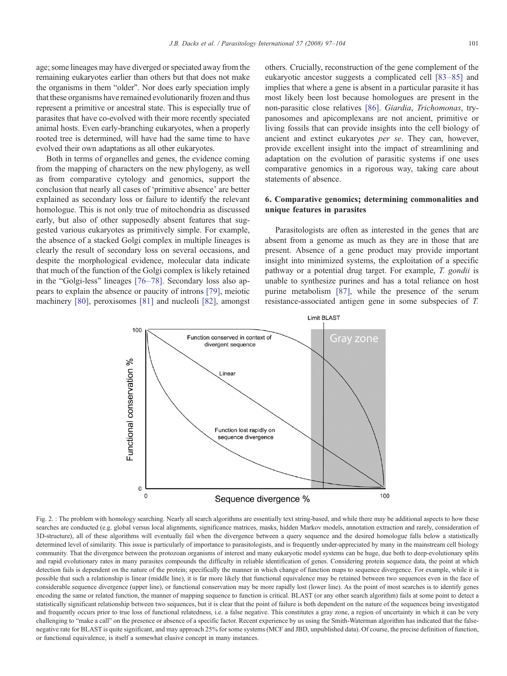<span id="page-4-0"></span>age; some lineages may have diverged or speciated away from the remaining eukaryotes earlier than others but that does not make the organisms in them "older". Nor does early speciation imply that these organisms have remained evolutionarily frozen and thus represent a primitive or ancestral state. This is especially true of parasites that have co-evolved with their more recently speciated animal hosts. Even early-branching eukaryotes, when a properly rooted tree is determined, will have had the same time to have evolved their own adaptations as all other eukaryotes.

Both in terms of organelles and genes, the evidence coming from the mapping of characters on the new phylogeny, as well as from comparative cytology and genomics, support the conclusion that nearly all cases of 'primitive absence' are better explained as secondary loss or failure to identify the relevant homologue. This is not only true of mitochondria as discussed early, but also of other supposedly absent features that suggested various eukaryotes as primitively simple. For example, the absence of a stacked Golgi complex in multiple lineages is clearly the result of secondary loss on several occasions, and despite the morphological evidence, molecular data indicate that much of the function of the Golgi complex is likely retained in the "Golgi-less" lineages [76–[78\].](#page-7-0) Secondary loss also appears to explain the absence or paucity of introns [\[79\],](#page-7-0) meiotic machinery [\[80\]](#page-7-0), peroxisomes [\[81\]](#page-7-0) and nucleoli [\[82\],](#page-7-0) amongst others. Crucially, reconstruction of the gene complement of the eukaryotic ancestor suggests a complicated cell [83–[85\]](#page-7-0) and implies that where a gene is absent in a particular parasite it has most likely been lost because homologues are present in the non-parasitic close relatives [\[86\]](#page-7-0). Giardia, Trichomonas, trypanosomes and apicomplexans are not ancient, primitive or living fossils that can provide insights into the cell biology of ancient and extinct eukaryotes per se. They can, however, provide excellent insight into the impact of streamlining and adaptation on the evolution of parasitic systems if one uses comparative genomics in a rigorous way, taking care about statements of absence.

## 6. Comparative genomics; determining commonalities and unique features in parasites

Parasitologists are often as interested in the genes that are absent from a genome as much as they are in those that are present. Absence of a gene product may provide important insight into minimized systems, the exploitation of a specific pathway or a potential drug target. For example, T. gondii is unable to synthesize purines and has a total reliance on host purine metabolism [\[87\]](#page-7-0), while the presence of the serum resistance-associated antigen gene in some subspecies of T.



Fig. 2. : The problem with homology searching. Nearly all search algorithms are essentially text string-based, and while there may be additional aspects to how these searches are conducted (e.g. global versus local alignments, significance matrices, masks, hidden Markov models, annotation extraction and rarely, consideration of 3D-structure), all of these algorithms will eventually fail when the divergence between a query sequence and the desired homologue falls below a statistically determined level of similarity. This issue is particularly of importance to parasitologists, and is frequently under-appreciated by many in the mainstream cell biology community. That the divergence between the protozoan organisms of interest and many eukaryotic model systems can be huge, due both to deep-evolutionary splits and rapid evolutionary rates in many parasites compounds the difficulty in reliable identification of genes. Considering protein sequence data, the point at which detection fails is dependent on the nature of the protein; specifically the manner in which change of function maps to sequence divergence. For example, while it is possible that such a relationship is linear (middle line), it is far more likely that functional equivalence may be retained between two sequences even in the face of considerable sequence divergence (upper line), or functional conservation may be more rapidly lost (lower line). As the point of most searches is to identify genes encoding the same or related function, the manner of mapping sequence to function is critical. BLAST (or any other search algorithm) fails at some point to detect a statistically significant relationship between two sequences, but it is clear that the point of failure is both dependent on the nature of the sequences being investigated and frequently occurs prior to true loss of functional relatedness, i.e. a false negative. This constitutes a gray zone, a region of uncertainty in which it can be very challenging to "make a call" on the presence or absence of a specific factor. Recent experience by us using the Smith-Waterman algorithm has indicated that the falsenegative rate for BLAST is quite significant, and may approach 25% for some systems (MCF and JBD, unpublished data). Of course, the precise definition of function, or functional equivalence, is itself a somewhat elusive concept in many instances.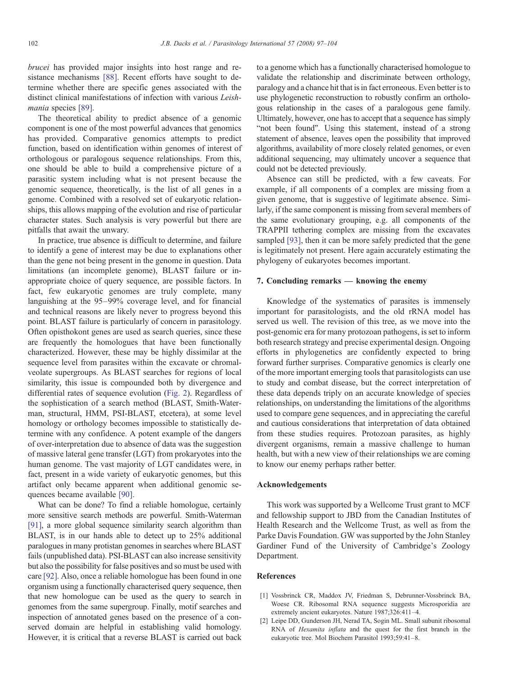<span id="page-5-0"></span>brucei has provided major insights into host range and resistance mechanisms [\[88\].](#page-7-0) Recent efforts have sought to determine whether there are specific genes associated with the distinct clinical manifestations of infection with various Leish-mania species [\[89\]](#page-7-0).

The theoretical ability to predict absence of a genomic component is one of the most powerful advances that genomics has provided. Comparative genomics attempts to predict function, based on identification within genomes of interest of orthologous or paralogous sequence relationships. From this, one should be able to build a comprehensive picture of a parasitic system including what is not present because the genomic sequence, theoretically, is the list of all genes in a genome. Combined with a resolved set of eukaryotic relationships, this allows mapping of the evolution and rise of particular character states. Such analysis is very powerful but there are pitfalls that await the unwary.

In practice, true absence is difficult to determine, and failure to identify a gene of interest may be due to explanations other than the gene not being present in the genome in question. Data limitations (an incomplete genome), BLAST failure or inappropriate choice of query sequence, are possible factors. In fact, few eukaryotic genomes are truly complete, many languishing at the 95–99% coverage level, and for financial and technical reasons are likely never to progress beyond this point. BLAST failure is particularly of concern in parasitology. Often opisthokont genes are used as search queries, since these are frequently the homologues that have been functionally characterized. However, these may be highly dissimilar at the sequence level from parasites within the excavate or chromalveolate supergroups. As BLAST searches for regions of local similarity, this issue is compounded both by divergence and differential rates of sequence evolution [\(Fig. 2\)](#page-4-0). Regardless of the sophistication of a search method (BLAST, Smith-Waterman, structural, HMM, PSI-BLAST, etcetera), at some level homology or orthology becomes impossible to statistically determine with any confidence. A potent example of the dangers of over-interpretation due to absence of data was the suggestion of massive lateral gene transfer (LGT) from prokaryotes into the human genome. The vast majority of LGT candidates were, in fact, present in a wide variety of eukaryotic genomes, but this artifact only became apparent when additional genomic sequences became available [\[90\].](#page-7-0)

What can be done? To find a reliable homologue, certainly more sensitive search methods are powerful. Smith-Waterman [\[91\],](#page-7-0) a more global sequence similarity search algorithm than BLAST, is in our hands able to detect up to 25% additional paralogues in many protistan genomes in searches where BLAST fails (unpublished data). PSI-BLAST can also increase sensitivity but also the possibility for false positives and so must be used with care [\[92\]](#page-7-0). Also, once a reliable homologue has been found in one organism using a functionally characterised query sequence, then that new homologue can be used as the query to search in genomes from the same supergroup. Finally, motif searches and inspection of annotated genes based on the presence of a conserved domain are helpful in establishing valid homology. However, it is critical that a reverse BLAST is carried out back

to a genome which has a functionally characterised homologue to validate the relationship and discriminate between orthology, paralogy and a chance hit that is in fact erroneous. Even better is to use phylogenetic reconstruction to robustly confirm an orthologous relationship in the cases of a paralogous gene family. Ultimately, however, one has to accept that a sequence has simply "not been found". Using this statement, instead of a strong statement of absence, leaves open the possibility that improved algorithms, availability of more closely related genomes, or even additional sequencing, may ultimately uncover a sequence that could not be detected previously.

Absence can still be predicted, with a few caveats. For example, if all components of a complex are missing from a given genome, that is suggestive of legitimate absence. Similarly, if the same component is missing from several members of the same evolutionary grouping, e.g. all components of the TRAPPII tethering complex are missing from the excavates sampled [\[93\],](#page-7-0) then it can be more safely predicted that the gene is legitimately not present. Here again accurately estimating the phylogeny of eukaryotes becomes important.

## 7. Concluding remarks — knowing the enemy

Knowledge of the systematics of parasites is immensely important for parasitologists, and the old rRNA model has served us well. The revision of this tree, as we move into the post-genomic era for many protozoan pathogens, is set to inform both research strategy and precise experimental design. Ongoing efforts in phylogenetics are confidently expected to bring forward further surprises. Comparative genomics is clearly one of the more important emerging tools that parasitologists can use to study and combat disease, but the correct interpretation of these data depends triply on an accurate knowledge of species relationships, on understanding the limitations of the algorithms used to compare gene sequences, and in appreciating the careful and cautious considerations that interpretation of data obtained from these studies requires. Protozoan parasites, as highly divergent organisms, remain a massive challenge to human health, but with a new view of their relationships we are coming to know our enemy perhaps rather better.

#### Acknowledgements

This work was supported by a Wellcome Trust grant to MCF and fellowship support to JBD from the Canadian Institutes of Health Research and the Wellcome Trust, as well as from the Parke Davis Foundation. GW was supported by the John Stanley Gardiner Fund of the University of Cambridge's Zoology Department.

#### References

- [1] Vossbrinck CR, Maddox JV, Friedman S, Debrunner-Vossbrinck BA, Woese CR. Ribosomal RNA sequence suggests Microsporidia are extremely ancient eukaryotes. Nature 1987;326:411–4.
- [2] Leipe DD, Gunderson JH, Nerad TA, Sogin ML. Small subunit ribosomal RNA of Hexamita inflata and the quest for the first branch in the eukaryotic tree. Mol Biochem Parasitol 1993;59:41–8.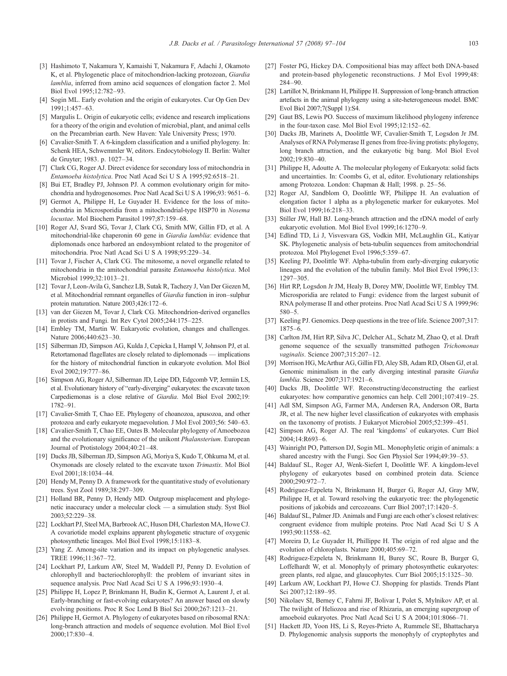- <span id="page-6-0"></span>[3] Hashimoto T, Nakamura Y, Kamaishi T, Nakamura F, Adachi J, Okamoto K, et al. Phylogenetic place of mitochondrion-lacking protozoan, Giardia lamblia, inferred from amino acid sequences of elongation factor 2. Mol Biol Evol 1995;12:782–93.
- [4] Sogin ML. Early evolution and the origin of eukaryotes. Cur Op Gen Dev 1991;1:457–63.
- [5] Margulis L. Origin of eukaryotic cells; evidence and research implications for a theory of the origin and evolution of microbial, plant, and animal cells on the Precambrian earth. New Haven: Yale University Press; 1970.
- [6] Cavalier-Smith T. A 6-kingdom classification and a unified phylogeny. In: Schenk HEA, Schwemmler W, editors. Endocytobiology II. Berlin: Walter de Gruyter; 1983. p. 1027–34.
- [7] Clark CG, Roger AJ. Direct evidence for secondary loss of mitochondria in Entamoeba histolytica. Proc Natl Acad Sci U S A 1995;92:6518–21.
- [8] Bui ET, Bradley PJ, Johnson PJ. A common evolutionary origin for mitochondria and hydrogenosomes. Proc Natl Acad Sci U S A 1996;93: 9651–6.
- [9] Germot A, Philippe H, Le Guyader H. Evidence for the loss of mitochondria in Microsporidia from a mitochondrial-type HSP70 in Nosema locustae. Mol Biochem Parasitol 1997;87:159–68.
- [10] Roger AJ, Svard SG, Tovar J, Clark CG, Smith MW, Gillin FD, et al. A mitochondrial-like chaperonin 60 gene in Giardia lamblia: evidence that diplomonads once harbored an endosymbiont related to the progenitor of mitochondria. Proc Natl Acad Sci U S A 1998;95:229–34.
- [11] Tovar J, Fischer A, Clark CG. The mitosome, a novel organelle related to mitochondria in the amitochondrial parasite Entamoeba histolytica. Mol Microbiol 1999;32:1013–21.
- [12] Tovar J, Leon-Avila G, Sanchez LB, Sutak R, Tachezy J, Van Der Giezen M, et al. Mitochondrial remnant organelles of Giardia function in iron–sulphur protein maturation. Nature 2003;426:172–6.
- [13] van der Giezen M, Tovar J, Clark CG. Mitochondrion-derived organelles in protists and Fungi. Int Rev Cytol 2005;244:175–225.
- [14] Embley TM, Martin W. Eukaryotic evolution, changes and challenges. Nature 2006;440:623–30.
- [15] Silberman JD, Simpson AG, Kulda J, Cepicka I, Hampl V, Johnson PJ, et al. Retortamonad flagellates are closely related to diplomonads — implications for the history of mitochondrial function in eukaryote evolution. Mol Biol Evol 2002;19:777–86.
- [16] Simpson AG, Roger AJ, Silberman JD, Leipe DD, Edgcomb VP, Jermiin LS, et al. Evolutionary history of "early-diverging" eukaryotes: the excavate taxon Carpediemonas is a close relative of Giardia. Mol Biol Evol 2002;19: 1782–91.
- [17] Cavalier-Smith T, Chao EE. Phylogeny of choanozoa, apusozoa, and other protozoa and early eukaryote megaevolution. J Mol Evol 2003;56: 540–63.
- [18] Cavalier-Smith T, Chao EE, Oates B. Molecular phylogeny of Amoebozoa and the evolutionary significance of the unikont Phalansterium. European Journal of Protistology 2004;40:21–48.
- [19] Dacks JB, Silberman JD, Simpson AG, Moriya S, Kudo T, Ohkuma M, et al. Oxymonads are closely related to the excavate taxon Trimastix. Mol Biol Evol 2001;18:1034–44.
- [20] Hendy M, Penny D. A framework for the quantitative study of evolutionary trees. Syst Zool 1989;38:297–309.
- [21] Holland BR, Penny D, Hendy MD. Outgroup misplacement and phylogenetic inaccuracy under a molecular clock — a simulation study. Syst Biol 2003;52:229–38.
- [22] Lockhart PJ, Steel MA, Barbrook AC, Huson DH, Charleston MA, Howe CJ. A covariotide model explains apparent phylogenetic structure of oxygenic photosynthetic lineages. Mol Biol Evol 1998;15:1183–8.
- [23] Yang Z. Among-site variation and its impact on phylogenetic analyses. TREE 1996;11:367–72.
- [24] Lockhart PJ, Larkum AW, Steel M, Waddell PJ, Penny D. Evolution of chlorophyll and bacteriochlorophyll: the problem of invariant sites in sequence analysis. Proc Natl Acad Sci U S A 1996;93:1930–4.
- [25] Philippe H, Lopez P, Brinkmann H, Budin K, Germot A, Laurent J, et al. Early-branching or fast-evolving eukaryotes? An answer based on slowly evolving positions. Proc R Soc Lond B Biol Sci 2000;267:1213–21.
- [26] Philippe H, Germot A. Phylogeny of eukaryotes based on ribosomal RNA: long-branch attraction and models of sequence evolution. Mol Biol Evol 2000;17:830–4.
- [27] Foster PG, Hickey DA. Compositional bias may affect both DNA-based and protein-based phylogenetic reconstructions. J Mol Evol 1999;48: 284–90.
- [28] Lartillot N, Brinkmann H, Philippe H. Suppression of long-branch attraction artefacts in the animal phylogeny using a site-heterogeneous model. BMC Evol Biol 2007;7(Suppl 1):S4.
- [29] Gaut BS, Lewis PO. Success of maximum likelihood phylogeny inference in the four-taxon case. Mol Biol Evol 1995;12:152–62.
- [30] Dacks JB, Marinets A, Doolittle WF, Cavalier-Smith T, Logsdon Jr JM. Analyses of RNA Polymerase II genes from free-living protists: phylogeny, long branch attraction, and the eukaryotic big bang. Mol Biol Evol 2002;19:830–40.
- [31] Philippe H, Adoutte A. The molecular phylogeny of Eukaryota: solid facts and uncertainties. In: Coombs G, et al, editor. Evolutionary relationships among Protozoa. London: Chapman & Hall; 1998. p. 25–56.
- [32] Roger AJ, Sandblom O, Doolittle WF, Philippe H. An evaluation of elongation factor 1 alpha as a phylogenetic marker for eukaryotes. Mol Biol Evol 1999;16:218–33.
- [33] Stiller JW, Hall BJ. Long-branch attraction and the rDNA model of early eukaryotic evolution. Mol Biol Evol 1999;16:1270–9.
- [34] Edlind TD, Li J, Visvesvara GS, Vodkin MH, McLaughlin GL, Katiyar SK. Phylogenetic analysis of beta-tubulin sequences from amitochondrial protozoa. Mol Phylogenet Evol 1996;5:359–67.
- [35] Keeling PJ, Doolittle WF. Alpha-tubulin from early-diverging eukaryotic lineages and the evolution of the tubulin family. Mol Biol Evol 1996;13: 1297–305.
- [36] Hirt RP, Logsdon Jr JM, Healy B, Dorey MW, Doolittle WF, Embley TM. Microsporidia are related to Fungi: evidence from the largest subunit of RNA polymerase II and other proteins. Proc Natl Acad Sci U S A 1999;96: 580–5.
- [37] Keeling PJ. Genomics. Deep questions in the tree of life. Science 2007;317: 1875–6.
- [38] Carlton JM, Hirt RP, Silva JC, Delcher AL, Schatz M, Zhao Q, et al. Draft genome sequence of the sexually transmitted pathogen Trichomonas vaginalis. Science 2007;315:207–12.
- [39] Morrison HG, McArthur AG, Gillin FD, Aley SB, Adam RD, Olsen GJ, et al. Genomic minimalism in the early diverging intestinal parasite Giardia lamblia. Science 2007;317:1921–6.
- [40] Dacks JB, Doolittle WF. Reconstructing/deconstructing the earliest eukaryotes: how comparative genomics can help. Cell 2001;107:419–25.
- [41] Adl SM, Simpson AG, Farmer MA, Andersen RA, Anderson OR, Barta JR, et al. The new higher level classification of eukaryotes with emphasis on the taxonomy of protists. J Eukaryot Microbiol 2005;52:399–451.
- [42] Simpson AG, Roger AJ. The real 'kingdoms' of eukaryotes. Curr Biol 2004;14:R693–6.
- [43] Wainright PO, Patterson DJ, Sogin ML. Monophyletic origin of animals: a shared ancestry with the Fungi. Soc Gen Physiol Ser 1994;49:39–53.
- [44] Baldauf SL, Roger AJ, Wenk-Siefert I, Doolittle WF. A kingdom-level phylogeny of eukaryotes based on combined protein data. Science 2000;290:972–7.
- [45] Rodriguez-Ezpeleta N, Brinkmann H, Burger G, Roger AJ, Gray MW, Philippe H, et al. Toward resolving the eukaryotic tree: the phylogenetic positions of jakobids and cercozoans. Curr Biol 2007;17:1420–5.
- [46] Baldauf SL, Palmer JD. Animals and Fungi are each other's closest relatives: congruent evidence from multiple proteins. Proc Natl Acad Sci U S A 1993;90:11558–62.
- [47] Moreira D, Le Guyader H, Phillippe H. The origin of red algae and the evolution of chloroplasts. Nature 2000;405:69–72.
- [48] Rodriguez-Ezpeleta N, Brinkmann H, Burey SC, Roure B, Burger G, Loffelhardt W, et al. Monophyly of primary photosynthetic eukaryotes: green plants, red algae, and glaucophytes. Curr Biol 2005;15:1325–30.
- [49] Larkum AW, Lockhart PJ, Howe CJ. Shopping for plastids. Trends Plant Sci 2007;12:189–95.
- [50] Nikolaev SI, Berney C, Fahrni JF, Bolivar I, Polet S, Mylnikov AP, et al. The twilight of Heliozoa and rise of Rhizaria, an emerging supergroup of amoeboid eukaryotes. Proc Natl Acad Sci U S A 2004;101:8066–71.
- [51] Hackett JD, Yoon HS, Li S, Reyes-Prieto A, Rummele SE, Bhattacharya D. Phylogenomic analysis supports the monophyly of cryptophytes and